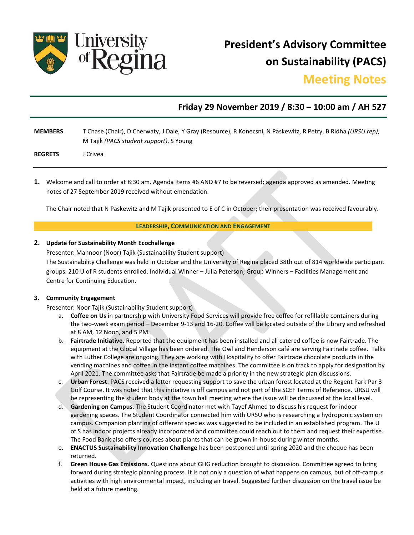

**President's Advisory Committee on Sustainability (PACS)**

# **Meeting Notes**

# **Friday 29 November 2019 / 8:30 – 10:00 am / AH 527**

| <b>MEMBERS</b> | T Chase (Chair), D Cherwaty, J Dale, Y Gray (Resource), R Konecsni, N Paskewitz, R Petry, B Ridha (URSU rep), |
|----------------|---------------------------------------------------------------------------------------------------------------|
|                | M Tajik (PACS student support), S Young                                                                       |
| <b>REGRETS</b> | I Crivea                                                                                                      |

**1.** Welcome and call to order at 8:30 am. Agenda items #6 AND #7 to be reversed; agenda approved as amended. Meeting notes of 27 September 2019 received without emendation.

The Chair noted that N Paskewitz and M Tajik presented to E of C in October; their presentation was received favourably.

#### **LEADERSHIP, COMMUNICATION AND ENGAGEMENT**

#### **2. Update for Sustainability Month Ecochallenge**

Presenter: Mahnoor (Noor) Tajik (Sustainability Student support)

The Sustainability Challenge was held in October and the University of Regina placed 38th out of 814 worldwide participant groups. 210 U of R students enrolled. Individual Winner – Julia Peterson; Group Winners – Facilities Management and Centre for Continuing Education.

#### **3. Community Engagement**

Presenter: Noor Tajik (Sustainability Student support)

- a. **Coffee on Us** in partnership with University Food Services will provide free coffee for refillable containers during the two-week exam period – December 9-13 and 16-20. Coffee will be located outside of the Library and refreshed at 8 AM, 12 Noon, and 5 PM.
- b. **Fairtrade Initiative.** Reported that the equipment has been installed and all catered coffee is now Fairtrade. The equipment at the Global Village has been ordered. The Owl and Henderson café are serving Fairtrade coffee. Talks with Luther College are ongoing. They are working with Hospitality to offer Fairtrade chocolate products in the vending machines and coffee in the instant coffee machines. The committee is on track to apply for designation by April 2021. The committee asks that Fairtrade be made a priority in the new strategic plan discussions.
- c. **Urban Forest**. PACS received a letter requesting support to save the urban forest located at the Regent Park Par 3 Golf Course. It was noted that this initiative is off campus and not part of the SCEF Terms of Reference. URSU will be representing the student body at the town hall meeting where the issue will be discussed at the local level.
- d. **Gardening on Campus**. The Student Coordinator met with Tayef Ahmed to discuss his request for indoor gardening spaces. The Student Coordinator connected him with URSU who is researching a hydroponic system on campus. Companion planting of different species was suggested to be included in an established program. The U of S has indoor projects already incorporated and committee could reach out to them and request their expertise. The Food Bank also offers courses about plants that can be grown in-house during winter months.
- e. **ENACTUS Sustainability Innovation Challenge** has been postponed until spring 2020 and the cheque has been returned.
- f. **Green House Gas Emissions**. Questions about GHG reduction brought to discussion. Committee agreed to bring forward during strategic planning process. It is not only a question of what happens on campus, but of off-campus activities with high environmental impact, including air travel. Suggested further discussion on the travel issue be held at a future meeting.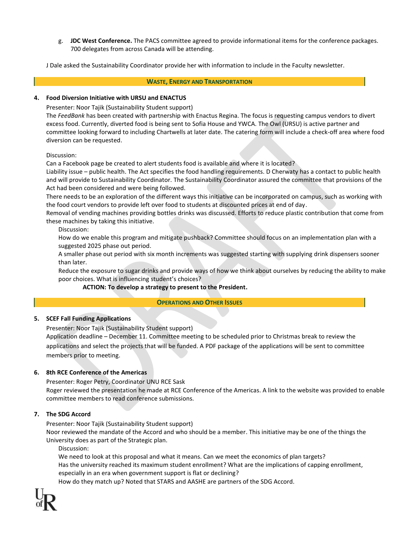g. **JDC West Conference.** The PACS committee agreed to provide informational items for the conference packages. 700 delegates from across Canada will be attending.

J Dale asked the Sustainability Coordinator provide her with information to include in the Faculty newsletter.

#### **WASTE, ENERGY AND TRANSPORTATION**

#### **4. Food Diversion Initiative with URSU and ENACTUS**

Presenter: Noor Tajik (Sustainability Student support)

The *FeedBank* has been created with partnership with Enactus Regina. The focus is requesting campus vendors to divert excess food. Currently, diverted food is being sent to Sofia House and YWCA. The Owl (URSU) is active partner and committee looking forward to including Chartwells at later date. The catering form will include a check-off area where food diversion can be requested.

#### Discussion:

Can a Facebook page be created to alert students food is available and where it is located?

Liability issue – public health. The Act specifies the food handling requirements. D Cherwaty has a contact to public health and will provide to Sustainability Coordinator. The Sustainability Coordinator assured the committee that provisions of the Act had been considered and were being followed.

There needs to be an exploration of the different ways this initiative can be incorporated on campus, such as working with the food court vendors to provide left over food to students at discounted prices at end of day.

Removal of vending machines providing bottles drinks was discussed. Efforts to reduce plastic contribution that come from these machines by taking this initiative.

Discussion:

How do we enable this program and mitigate pushback? Committee should focus on an implementation plan with a suggested 2025 phase out period.

A smaller phase out period with six month increments was suggested starting with supplying drink dispensers sooner than later.

Reduce the exposure to sugar drinks and provide ways of how we think about ourselves by reducing the ability to make poor choices. What is influencing student's choices?

# **ACTION: To develop a strategy to present to the President.**

# **OPERATIONS AND OTHER ISSUES**

# **5. SCEF Fall Funding Applications**

Presenter: Noor Tajik (Sustainability Student support)

Application deadline – December 11. Committee meeting to be scheduled prior to Christmas break to review the applications and select the projects that will be funded. A PDF package of the applications will be sent to committee members prior to meeting.

# **6. 8th RCE Conference of the Americas**

Presenter: Roger Petry, Coordinator UNU RCE Sask Roger reviewed the presentation he made at RCE Conference of the Americas. A link to the website was provided to enable committee members to read conference submissions.

# **7. The SDG Accord**

Presenter: Noor Tajik (Sustainability Student support)

Noor reviewed the mandate of the Accord and who should be a member. This initiative may be one of the things the University does as part of the Strategic plan.

Discussion:

We need to look at this proposal and what it means. Can we meet the economics of plan targets? Has the university reached its maximum student enrollment? What are the implications of capping enrollment, especially in an era when government support is flat or declining?

How do they match up? Noted that STARS and AASHE are partners of the SDG Accord.